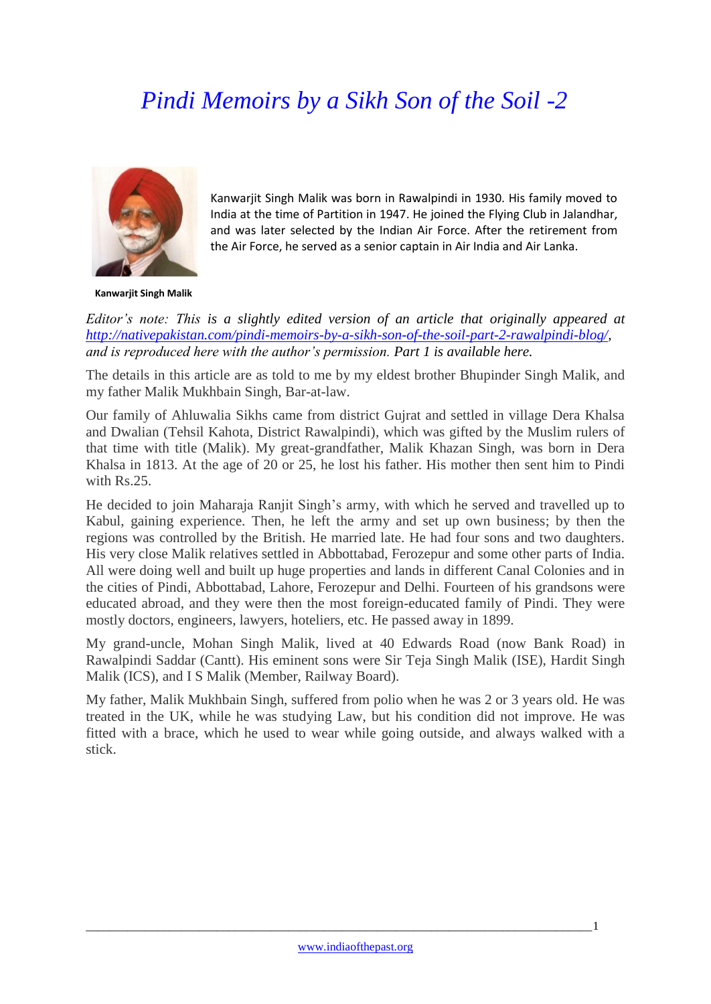## *Pindi Memoirs by a Sikh Son of the Soil -2*



Kanwarjit Singh Malik was born in Rawalpindi in 1930. His family moved to India at the time of Partition in 1947. He joined the Flying Club in Jalandhar, and was later selected by the Indian Air Force. After the retirement from the Air Force, he served as a senior captain in Air India and Air Lanka.

**Kanwarjit Singh Malik**

*Editor's note: This is a slightly edited version of an article that originally appeared at [http://nativepakistan.com/pindi-memoirs-by-a-sikh-son-of-the-soil-part-2-rawalpindi-blog/,](http://nativepakistan.com/pindi-memoirs-by-a-sikh-son-of-the-soil-part-2-rawalpindi-blog/) and is reproduced here with the author's permission. Part 1 is available here.* 

The details in this article are as told to me by my eldest brother Bhupinder Singh Malik, and my father Malik Mukhbain Singh, Bar-at-law.

Our family of Ahluwalia Sikhs came from district Gujrat and settled in village Dera Khalsa and Dwalian (Tehsil Kahota, District Rawalpindi), which was gifted by the Muslim rulers of that time with title (Malik). My great-grandfather, Malik Khazan Singh, was born in Dera Khalsa in 1813. At the age of 20 or 25, he lost his father. His mother then sent him to Pindi with Rs.25.

He decided to join Maharaja Ranjit Singh's army, with which he served and travelled up to Kabul, gaining experience. Then, he left the army and set up own business; by then the regions was controlled by the British. He married late. He had four sons and two daughters. His very close Malik relatives settled in Abbottabad, Ferozepur and some other parts of India. All were doing well and built up huge properties and lands in different Canal Colonies and in the cities of Pindi, Abbottabad, Lahore, Ferozepur and Delhi. Fourteen of his grandsons were educated abroad, and they were then the most foreign-educated family of Pindi. They were mostly doctors, engineers, lawyers, hoteliers, etc. He passed away in 1899.

My grand-uncle, Mohan Singh Malik, lived at 40 Edwards Road (now Bank Road) in Rawalpindi Saddar (Cantt). His eminent sons were Sir Teja Singh Malik (ISE), Hardit Singh Malik (ICS), and I S Malik (Member, Railway Board).

My father, Malik Mukhbain Singh, suffered from polio when he was 2 or 3 years old. He was treated in the UK, while he was studying Law, but his condition did not improve. He was fitted with a brace, which he used to wear while going outside, and always walked with a stick.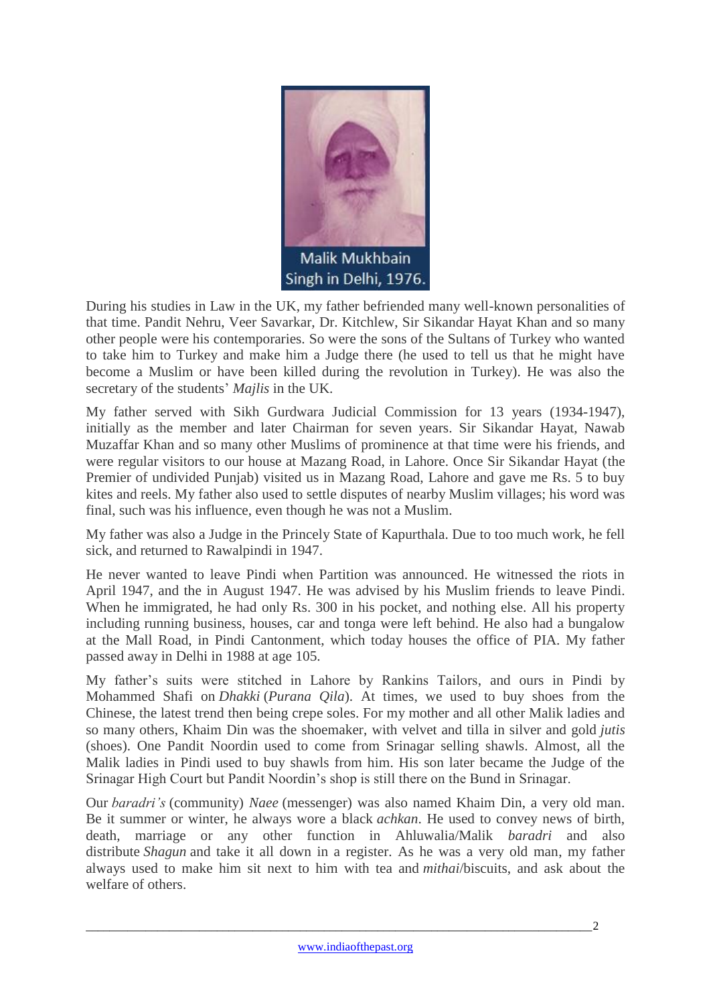

During his studies in Law in the UK, my father befriended many well-known personalities of that time. Pandit Nehru, Veer Savarkar, Dr. Kitchlew, Sir Sikandar Hayat Khan and so many other people were his contemporaries. So were the sons of the Sultans of Turkey who wanted to take him to Turkey and make him a Judge there (he used to tell us that he might have become a Muslim or have been killed during the revolution in Turkey). He was also the secretary of the students' *Majlis* in the UK.

My father served with Sikh Gurdwara Judicial Commission for 13 years (1934-1947), initially as the member and later Chairman for seven years. Sir Sikandar Hayat, Nawab Muzaffar Khan and so many other Muslims of prominence at that time were his friends, and were regular visitors to our house at Mazang Road, in Lahore. Once Sir Sikandar Hayat (the Premier of undivided Punjab) visited us in Mazang Road, Lahore and gave me Rs. 5 to buy kites and reels. My father also used to settle disputes of nearby Muslim villages; his word was final, such was his influence, even though he was not a Muslim.

My father was also a Judge in the Princely State of Kapurthala. Due to too much work, he fell sick, and returned to Rawalpindi in 1947.

He never wanted to leave Pindi when Partition was announced. He witnessed the riots in April 1947, and the in August 1947. He was advised by his Muslim friends to leave Pindi. When he immigrated, he had only Rs. 300 in his pocket, and nothing else. All his property including running business, houses, car and tonga were left behind. He also had a bungalow at the Mall Road, in Pindi Cantonment, which today houses the office of PIA. My father passed away in Delhi in 1988 at age 105.

My father's suits were stitched in Lahore by Rankins Tailors, and ours in Pindi by Mohammed Shafi on *Dhakki* (*Purana Qila*). At times, we used to buy shoes from the Chinese, the latest trend then being crepe soles. For my mother and all other Malik ladies and so many others, Khaim Din was the shoemaker, with velvet and tilla in silver and gold *jutis*  (shoes). One Pandit Noordin used to come from Srinagar selling shawls. Almost, all the Malik ladies in Pindi used to buy shawls from him. His son later became the Judge of the Srinagar High Court but Pandit Noordin's shop is still there on the Bund in Srinagar.

Our *baradri's* (community) *Naee* (messenger) was also named Khaim Din, a very old man. Be it summer or winter, he always wore a black *achkan*. He used to convey news of birth, death, marriage or any other function in Ahluwalia/Malik *baradri* and also distribute *Shagun* and take it all down in a register. As he was a very old man, my father always used to make him sit next to him with tea and *mithai*/biscuits, and ask about the welfare of others.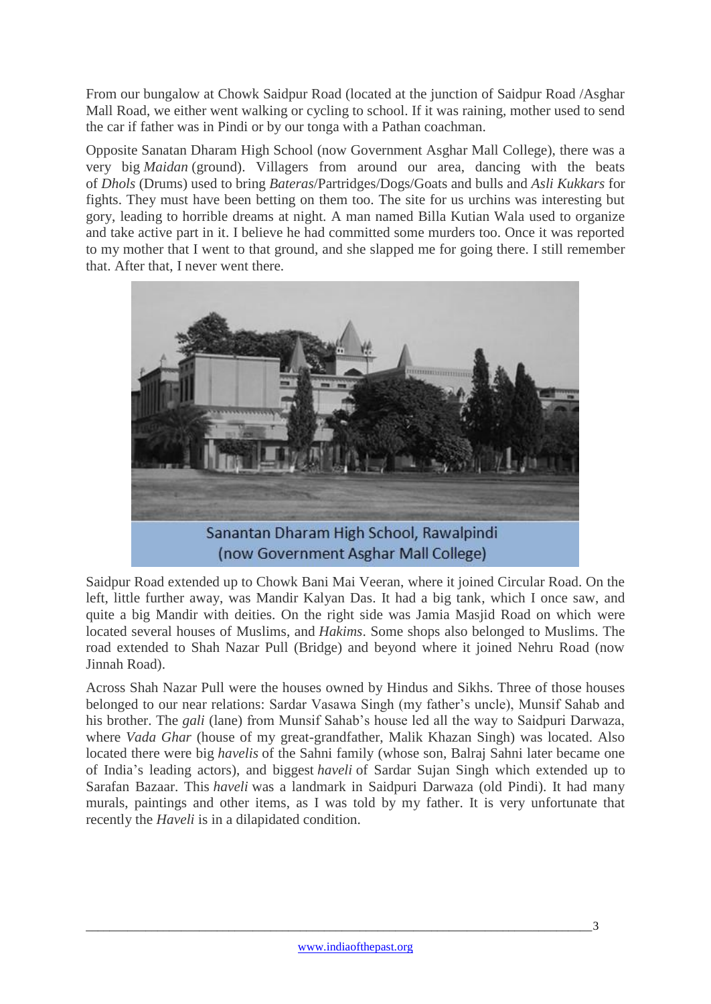From our bungalow at Chowk Saidpur Road (located at the junction of Saidpur Road /Asghar Mall Road, we either went walking or cycling to school. If it was raining, mother used to send the car if father was in Pindi or by our tonga with a Pathan coachman.

Opposite Sanatan Dharam High School (now Government Asghar Mall College), there was a very big *Maidan* (ground). Villagers from around our area, dancing with the beats of *Dhols* (Drums) used to bring *Bateras*/Partridges/Dogs/Goats and bulls and *Asli Kukkars* for fights. They must have been betting on them too. The site for us urchins was interesting but gory, leading to horrible dreams at night. A man named Billa Kutian Wala used to organize and take active part in it. I believe he had committed some murders too. Once it was reported to my mother that I went to that ground, and she slapped me for going there. I still remember that. After that, I never went there.



Saidpur Road extended up to Chowk Bani Mai Veeran, where it joined Circular Road. On the left, little further away, was Mandir Kalyan Das. It had a big tank, which I once saw, and quite a big Mandir with deities. On the right side was Jamia Masjid Road on which were located several houses of Muslims, and *Hakims*. Some shops also belonged to Muslims. The road extended to Shah Nazar Pull (Bridge) and beyond where it joined Nehru Road (now Jinnah Road).

Across Shah Nazar Pull were the houses owned by Hindus and Sikhs. Three of those houses belonged to our near relations: Sardar Vasawa Singh (my father's uncle), Munsif Sahab and his brother. The *gali* (lane) from Munsif Sahab's house led all the way to Saidpuri Darwaza, where *Vada Ghar* (house of my great-grandfather, Malik Khazan Singh) was located. Also located there were big *havelis* of the Sahni family (whose son, Balraj Sahni later became one of India's leading actors), and biggest *haveli* of Sardar Sujan Singh which extended up to Sarafan Bazaar. This *haveli* was a landmark in Saidpuri Darwaza (old Pindi). It had many murals, paintings and other items, as I was told by my father. It is very unfortunate that recently the *Haveli* is in a dilapidated condition.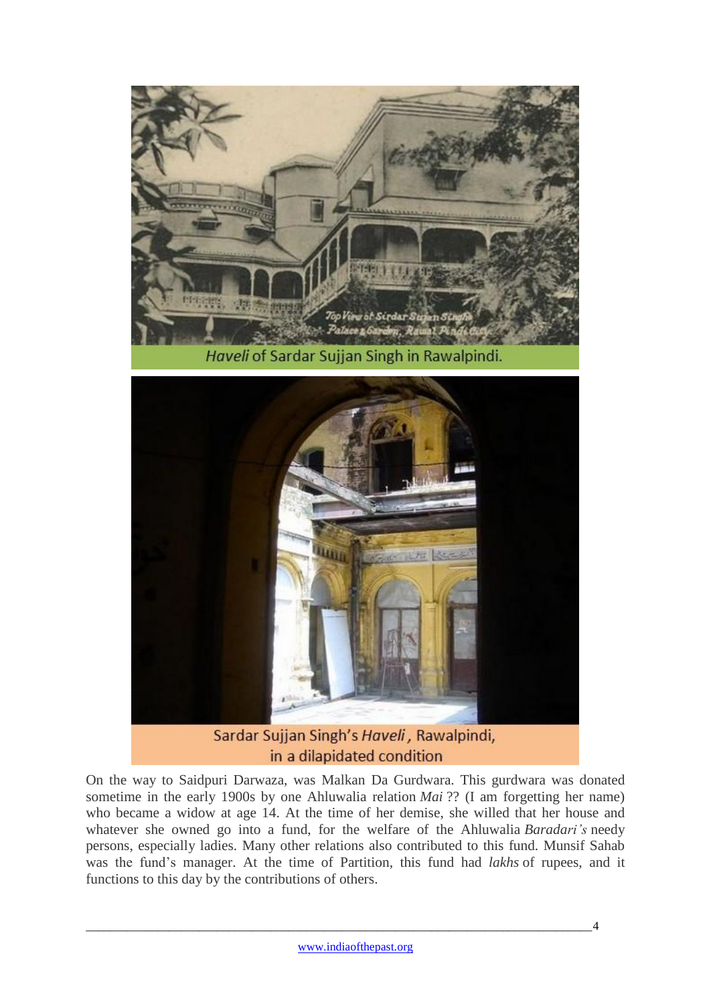

Wür Sardar Sujjan Singh's Haveli, Rawalpindi, in a dilapidated condition

On the way to Saidpuri Darwaza, was Malkan Da Gurdwara. This gurdwara was donated sometime in the early 1900s by one Ahluwalia relation *Mai* ?? (I am forgetting her name) who became a widow at age 14. At the time of her demise, she willed that her house and whatever she owned go into a fund, for the welfare of the Ahluwalia *Baradari's* needy persons, especially ladies. Many other relations also contributed to this fund. Munsif Sahab was the fund's manager. At the time of Partition, this fund had *lakhs* of rupees, and it functions to this day by the contributions of others.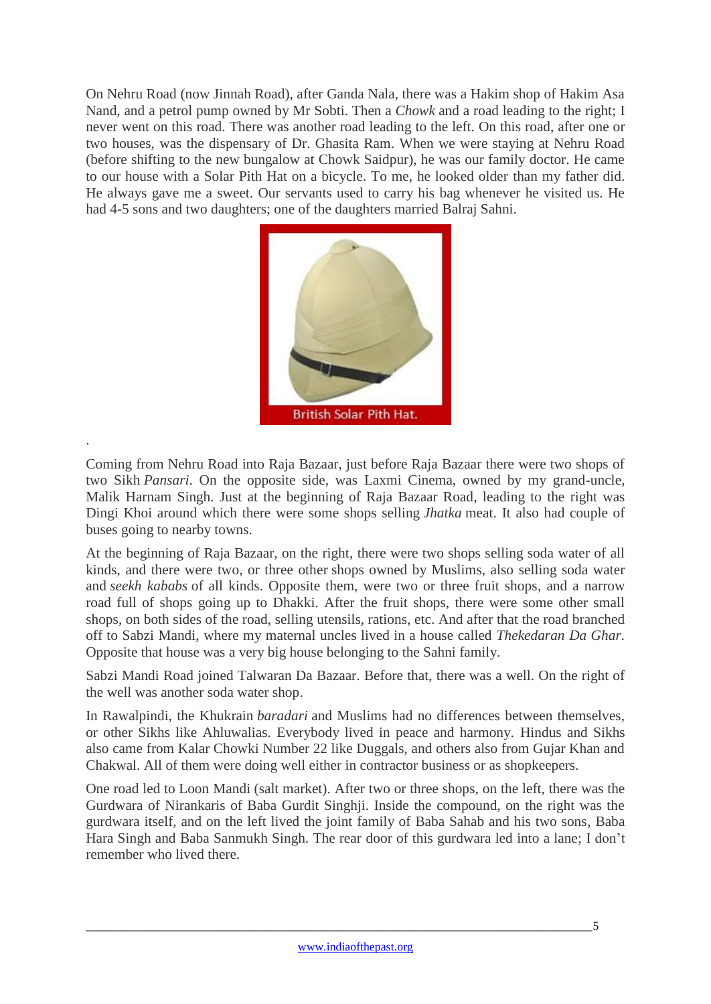On Nehru Road (now Jinnah Road), after Ganda Nala, there was a Hakim shop of Hakim Asa Nand, and a petrol pump owned by Mr Sobti. Then a *Chowk* and a road leading to the right; I never went on this road. There was another road leading to the left. On this road, after one or two houses, was the dispensary of Dr. Ghasita Ram. When we were staying at Nehru Road (before shifting to the new bungalow at Chowk Saidpur), he was our family doctor. He came to our house with a Solar Pith Hat on a bicycle. To me, he looked older than my father did. He always gave me a sweet. Our servants used to carry his bag whenever he visited us. He had 4-5 sons and two daughters; one of the daughters married Balraj Sahni.



Coming from Nehru Road into Raja Bazaar, just before Raja Bazaar there were two shops of two Sikh *Pansari*. On the opposite side, was Laxmi Cinema, owned by my grand-uncle, Malik Harnam Singh. Just at the beginning of Raja Bazaar Road, leading to the right was Dingi Khoi around which there were some shops selling *Jhatka* meat. It also had couple of buses going to nearby towns.

.

At the beginning of Raja Bazaar, on the right, there were two shops selling soda water of all kinds, and there were two, or three other shops owned by Muslims, also selling soda water and *seekh kababs* of all kinds. Opposite them, were two or three fruit shops, and a narrow road full of shops going up to Dhakki. After the fruit shops, there were some other small shops, on both sides of the road, selling utensils, rations, etc. And after that the road branched off to Sabzi Mandi, where my maternal uncles lived in a house called *Thekedaran Da Ghar.* Opposite that house was a very big house belonging to the Sahni family.

Sabzi Mandi Road joined Talwaran Da Bazaar. Before that, there was a well. On the right of the well was another soda water shop.

In Rawalpindi, the Khukrain *baradari* and Muslims had no differences between themselves, or other Sikhs like Ahluwalias. Everybody lived in peace and harmony. Hindus and Sikhs also came from Kalar Chowki Number 22 like Duggals, and others also from Gujar Khan and Chakwal. All of them were doing well either in contractor business or as shopkeepers.

One road led to Loon Mandi (salt market). After two or three shops, on the left, there was the Gurdwara of Nirankaris of Baba Gurdit Singhji. Inside the compound, on the right was the gurdwara itself, and on the left lived the joint family of Baba Sahab and his two sons, Baba Hara Singh and Baba Sanmukh Singh. The rear door of this gurdwara led into a lane; I don't remember who lived there.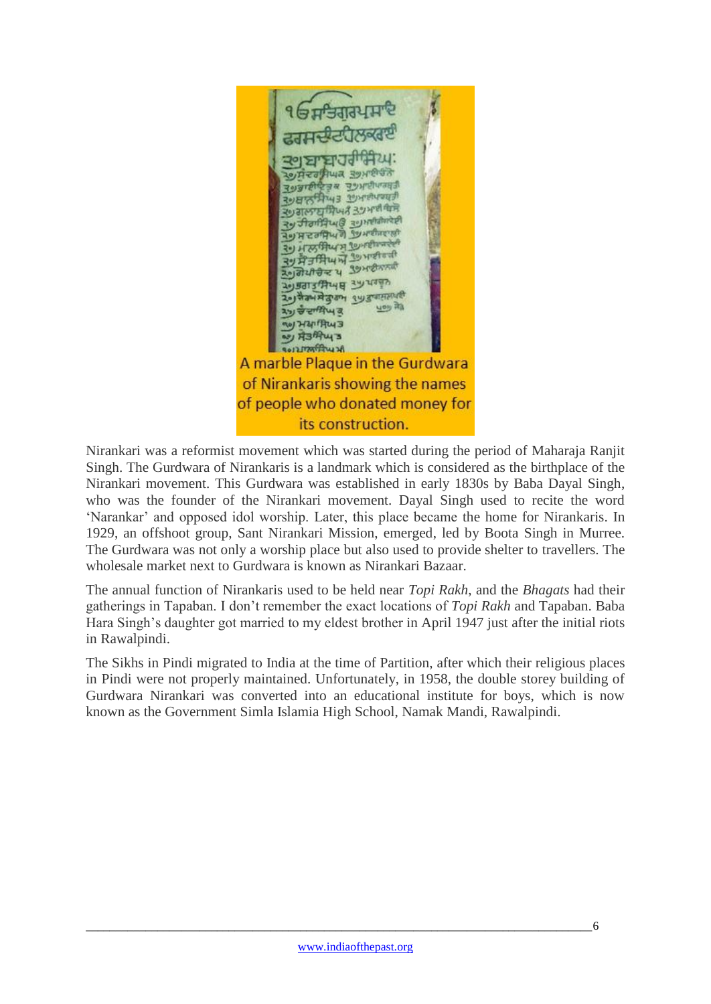

Nirankari was a reformist movement which was started during the period of Maharaja Ranjit Singh. The Gurdwara of Nirankaris is a landmark which is considered as the birthplace of the Nirankari movement. This Gurdwara was established in early 1830s by Baba Dayal Singh, who was the founder of the Nirankari movement. Dayal Singh used to recite the word 'Narankar' and opposed idol worship. Later, this place became the home for Nirankaris. In 1929, an offshoot group, Sant Nirankari Mission, emerged, led by Boota Singh in Murree. The Gurdwara was not only a worship place but also used to provide shelter to travellers. The wholesale market next to Gurdwara is known as Nirankari Bazaar.

The annual function of Nirankaris used to be held near *Topi Rakh*, and the *Bhagats* had their gatherings in Tapaban. I don't remember the exact locations of *Topi Rakh* and Tapaban. Baba Hara Singh's daughter got married to my eldest brother in April 1947 just after the initial riots in Rawalpindi.

The Sikhs in Pindi migrated to India at the time of Partition, after which their religious places in Pindi were not properly maintained. Unfortunately, in 1958, the double storey building of Gurdwara Nirankari was converted into an educational institute for boys, which is now known as the Government Simla Islamia High School, Namak Mandi, Rawalpindi.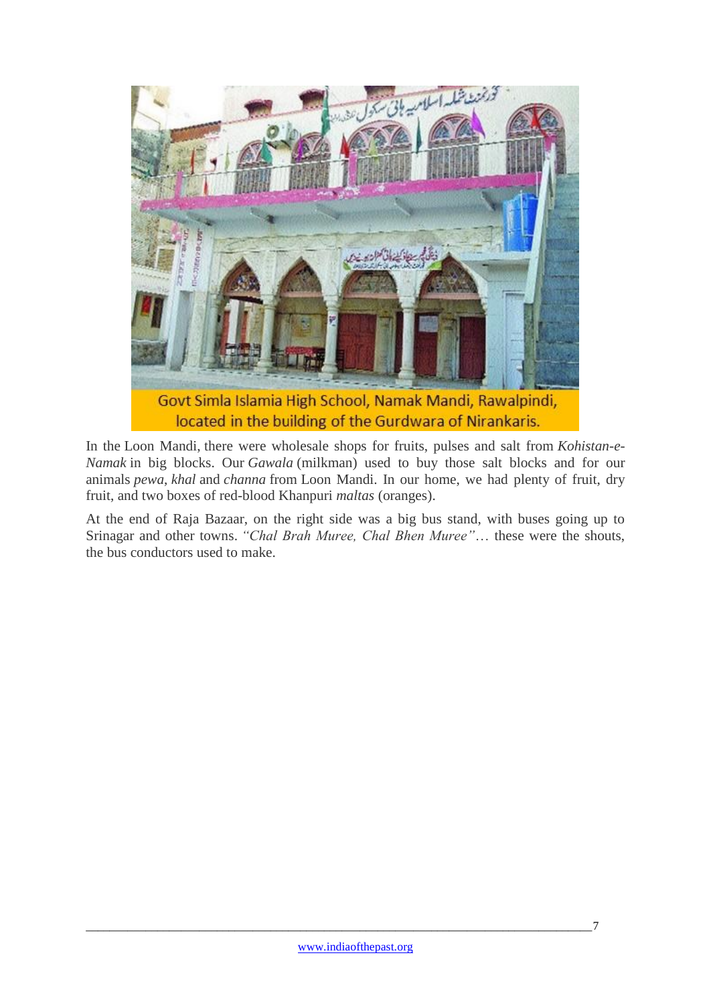

In the Loon Mandi, there were wholesale shops for fruits, pulses and salt from *Kohistan-e-Namak* in big blocks. Our *Gawala* (milkman) used to buy those salt blocks and for our animals *pewa*, *khal* and *channa* from Loon Mandi. In our home, we had plenty of fruit, dry fruit, and two boxes of red-blood Khanpuri *maltas* (oranges).

At the end of Raja Bazaar, on the right side was a big bus stand, with buses going up to Srinagar and other towns. *"Chal Brah Muree, Chal Bhen Muree"*… these were the shouts, the bus conductors used to make.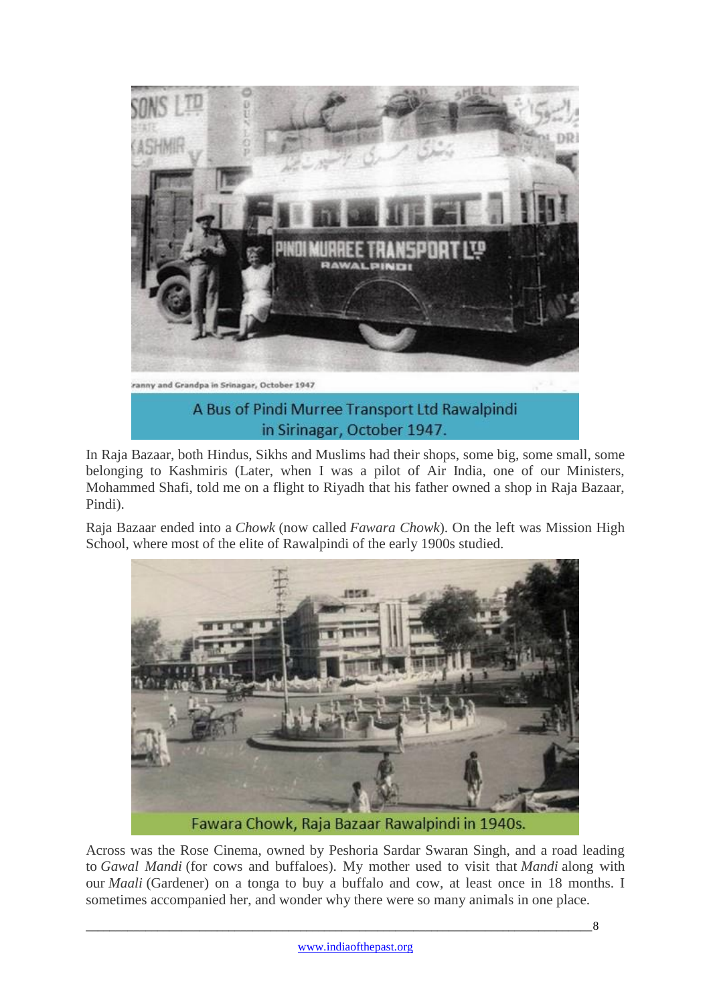

In Raja Bazaar, both Hindus, Sikhs and Muslims had their shops, some big, some small, some belonging to Kashmiris (Later, when I was a pilot of Air India, one of our Ministers, Mohammed Shafi, told me on a flight to Riyadh that his father owned a shop in Raja Bazaar, Pindi).

Raja Bazaar ended into a *Chowk* (now called *Fawara Chowk*). On the left was Mission High School, where most of the elite of Rawalpindi of the early 1900s studied.



Across was the Rose Cinema, owned by Peshoria Sardar Swaran Singh, and a road leading to *Gawal Mandi* (for cows and buffaloes). My mother used to visit that *Mandi* along with our *Maali* (Gardener) on a tonga to buy a buffalo and cow, at least once in 18 months. I sometimes accompanied her, and wonder why there were so many animals in one place.